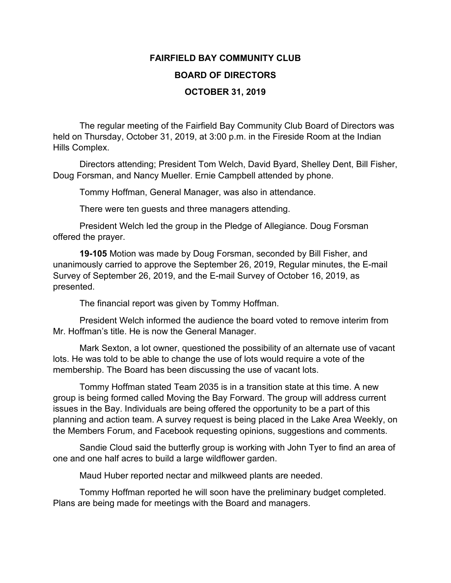## **FAIRFIELD BAY COMMUNITY CLUB BOARD OF DIRECTORS OCTOBER 31, 2019**

The regular meeting of the Fairfield Bay Community Club Board of Directors was held on Thursday, October 31, 2019, at 3:00 p.m. in the Fireside Room at the Indian Hills Complex.

Directors attending; President Tom Welch, David Byard, Shelley Dent, Bill Fisher, Doug Forsman, and Nancy Mueller. Ernie Campbell attended by phone.

Tommy Hoffman, General Manager, was also in attendance.

There were ten guests and three managers attending.

President Welch led the group in the Pledge of Allegiance. Doug Forsman offered the prayer.

**19-105** Motion was made by Doug Forsman, seconded by Bill Fisher, and unanimously carried to approve the September 26, 2019, Regular minutes, the E-mail Survey of September 26, 2019, and the E-mail Survey of October 16, 2019, as presented.

The financial report was given by Tommy Hoffman.

President Welch informed the audience the board voted to remove interim from Mr. Hoffman's title. He is now the General Manager.

Mark Sexton, a lot owner, questioned the possibility of an alternate use of vacant lots. He was told to be able to change the use of lots would require a vote of the membership. The Board has been discussing the use of vacant lots.

Tommy Hoffman stated Team 2035 is in a transition state at this time. A new group is being formed called Moving the Bay Forward. The group will address current issues in the Bay. Individuals are being offered the opportunity to be a part of this planning and action team. A survey request is being placed in the Lake Area Weekly, on the Members Forum, and Facebook requesting opinions, suggestions and comments.

Sandie Cloud said the butterfly group is working with John Tyer to find an area of one and one half acres to build a large wildflower garden.

Maud Huber reported nectar and milkweed plants are needed.

Tommy Hoffman reported he will soon have the preliminary budget completed. Plans are being made for meetings with the Board and managers.